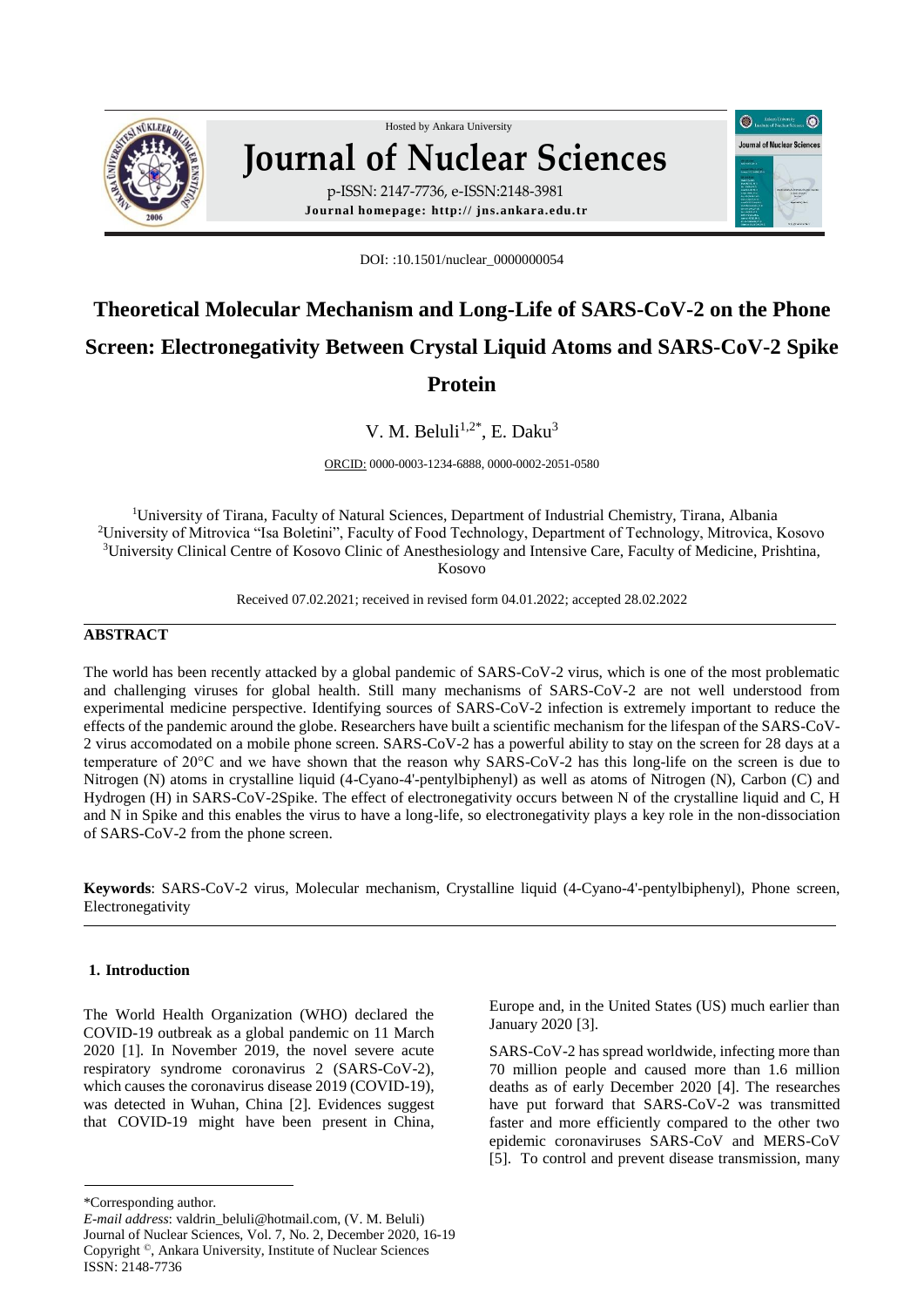

## Hosted by Ankara Unive[rsity](http://www.sciencedirect.com/science/journal/01678809)  **Journal of Nuclear Sciences** p-ISSN: 2147-7736, e-ISSN:2148-3981

**Journal homepage: http:// jns.ankara.edu.tr**

DOI: :10.1501/nuclear\_0000000054

# **Theoretical Molecular Mechanism and Long-Life of SARS-CoV-2 on the Phone Screen: Electronegativity Between Crystal Liquid Atoms and SARS-CoV-2 Spike Protein**

V. M. Beluli<sup>1,2\*</sup>, E. Daku<sup>3</sup>

ORCID: 0000-0003-1234-6888, 0000-0002-2051-0580

<sup>1</sup>University of Tirana, Faculty of Natural Sciences, Department of Industrial Chemistry, Tirana, Albania <sup>2</sup>University of Mitrovica "Isa Boletini", Faculty of Food Technology, Department of Technology, Mitrovica, Kosovo <sup>3</sup>University Clinical Centre of Kosovo Clinic of Anesthesiology and Intensive Care, Faculty of Medicine, Prishtina, Kosovo

Received 07.02.2021; received in revised form 04.01.2022; accepted 28.02.2022

### **ABSTRACT**

The world has been recently attacked by a global pandemic of SARS-CoV-2 virus, which is one of the most problematic and challenging viruses for global health. Still many mechanisms of SARS-CoV-2 are not well understood from experimental medicine perspective. Identifying sources of SARS-CoV-2 infection is extremely important to reduce the effects of the pandemic around the globe. Researchers have built a scientific mechanism for the lifespan of the SARS-CoV-2 virus accomodated on a mobile phone screen. SARS-CoV-2 has a powerful ability to stay on the screen for 28 days at a temperature of 20°C and we have shown that the reason why SARS-CoV-2 has this long-life on the screen is due to Nitrogen (N) atoms in crystalline liquid (4-Cyano-4'-pentylbiphenyl) as well as atoms of Nitrogen (N), Carbon (C) and Hydrogen (H) in SARS-CoV-2Spike. The effect of electronegativity occurs between N of the crystalline liquid and C, H and N in Spike and this enables the virus to have a long-life, so electronegativity plays a key role in the non-dissociation of SARS-CoV-2 from the phone screen.

**Keywords**: SARS-CoV-2 virus, Molecular mechanism, Crystalline liquid (4-Cyano-4'-pentylbiphenyl), Phone screen, Electronegativity

#### **1. Introduction**

The World Health Organization (WHO) declared the COVID-19 outbreak as a global pandemic on 11 March 2020 [1]. In November 2019, the novel severe acute respiratory syndrome coronavirus 2 (SARS-CoV-2), which causes the coronavirus disease 2019 (COVID-19), was detected in Wuhan, China [2]. Evidences suggest that COVID-19 might have been present in China,

\*Corresponding author.

Europe and, in the United States (US) much earlier than January 2020 [3].

 $\odot$   $\sim$ 

**Journal of Nuclear Science** 

G

SARS-CoV-2 has spread worldwide, infecting more than 70 million people and caused more than 1.6 million deaths as of early December 2020 [4]. The researches have put forward that SARS-CoV-2 was transmitted faster and more efficiently compared to the other two epidemic coronaviruses SARS-CoV and MERS-CoV [5]. To control and prevent disease transmission, many

*E-mail address*: valdrin\_beluli@hotmail.com, (V. M. Beluli) Journal of Nuclear Sciences, Vol. 7, No. 2, December 2020, 16-19 Copyright ©, Ankara University, Institute of Nuclear Sciences ISSN: 2148-7736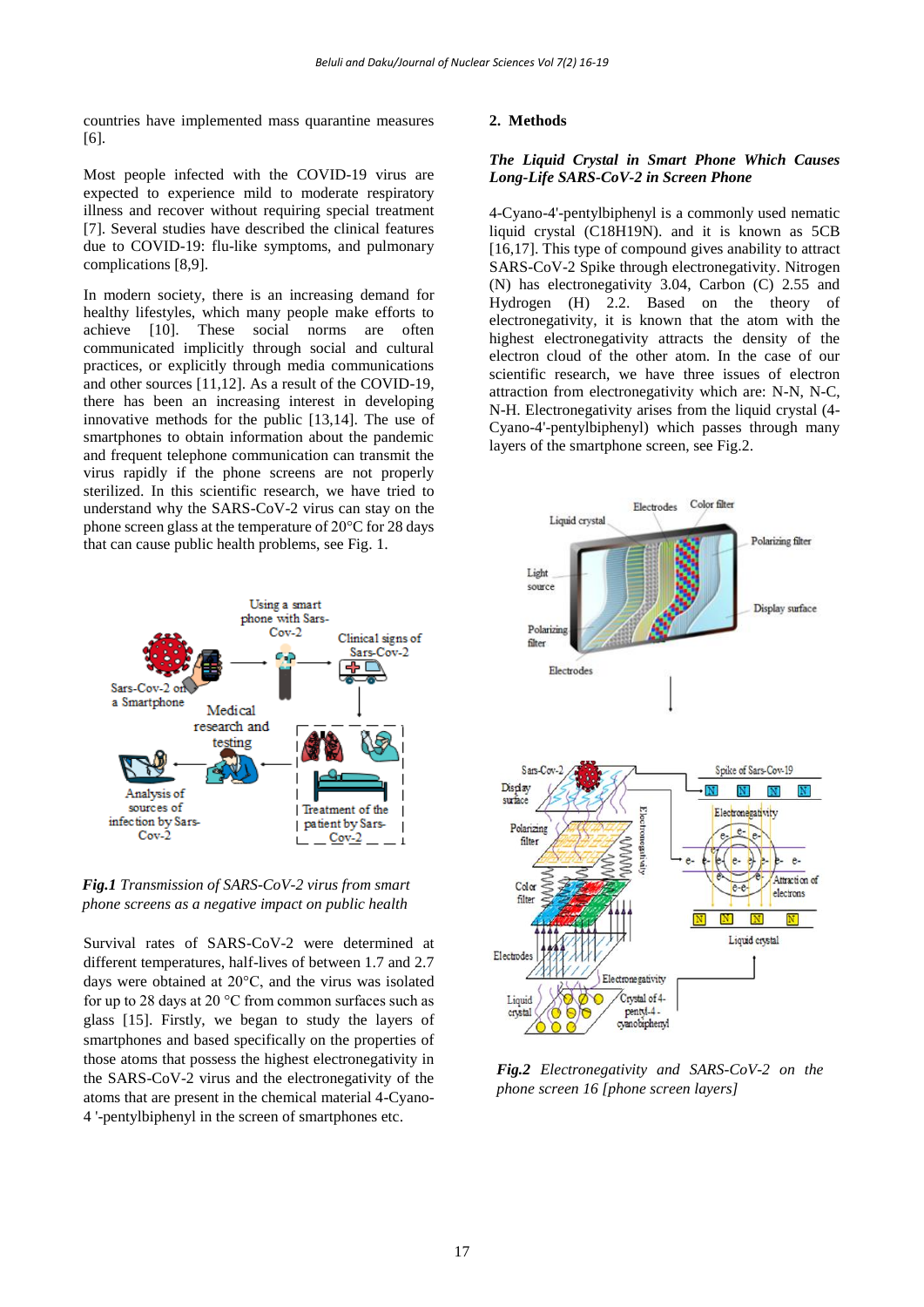countries have implemented mass quarantine measures [6].

Most people infected with the COVID-19 virus are expected to experience mild to moderate respiratory illness and recover without requiring special treatment [7]. Several studies have described the clinical features due to COVID-19: flu-like symptoms, and pulmonary complications [8,9].

In modern society, there is an increasing demand for healthy lifestyles, which many people make efforts to achieve [10]. These social norms are often communicated implicitly through social and cultural practices, or explicitly through media communications and other sources [11,12]. As a result of the COVID-19, there has been an increasing interest in developing innovative methods for the public [13,14]. The use of smartphones to obtain information about the pandemic and frequent telephone communication can transmit the virus rapidly if the phone screens are not properly sterilized. In this scientific research, we have tried to understand why the SARS-CoV-2 virus can stay on the phone screen glass at the temperature of 20°C for 28 days that can cause public health problems, see Fig. 1.



*Fig.1 Transmission of SARS-CoV-2 virus from smart phone screens as a negative impact on public health*

Survival rates of SARS-CoV-2 were determined at different temperatures, half-lives of between 1.7 and 2.7 days were obtained at 20°C, and the virus was isolated for up to 28 days at 20 °C from common surfaces such as glass [15]. Firstly, we began to study the layers of smartphones and based specifically on the properties of those atoms that possess the highest electronegativity in the SARS-CoV-2 virus and the electronegativity of the atoms that are present in the chemical material 4-Cyano-4 '-pentylbiphenyl in the screen of smartphones etc.

#### **2. Methods**

#### *The Liquid Crystal in Smart Phone Which Causes Long-Life SARS-CoV-2 in Screen Phone*

4-Cyano-4'-pentylbiphenyl is a commonly used nematic liquid crystal (C18H19N). and it is known as 5CB [16,17]. This type of compound gives anability to attract SARS-CoV-2 Spike through electronegativity. Nitrogen (N) has electronegativity 3.04, Carbon (C) 2.55 and Hydrogen (H) 2.2. Based on the theory of electronegativity, it is known that the atom with the highest electronegativity attracts the density of the electron cloud of the other atom. In the case of our scientific research, we have three issues of electron attraction from electronegativity which are: N-N, N-C, N-H. Electronegativity arises from the liquid crystal (4- Cyano-4'-pentylbiphenyl) which passes through many layers of the smartphone screen, see Fig.2.



*Fig.2 Electronegativity and SARS-CoV-2 on the phone screen 16 [phone screen layers]*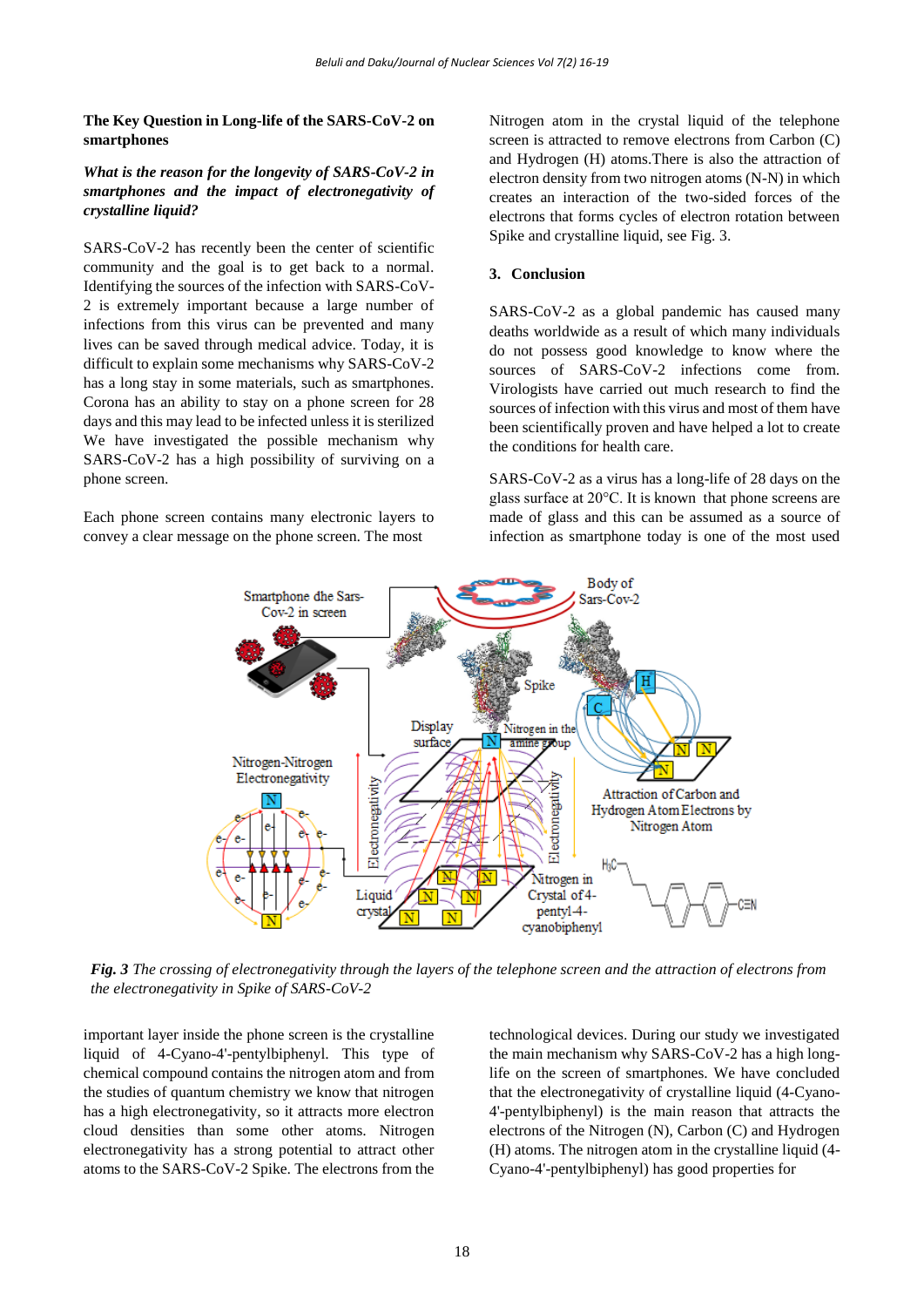#### **The Key Question in Long-life of the SARS-CoV-2 on smartphones**

#### *What is the reason for the longevity of SARS-CoV-2 in smartphones and the impact of electronegativity of crystalline liquid?*

SARS-CoV-2 has recently been the center of scientific community and the goal is to get back to a normal. Identifying the sources of the infection with SARS-CoV-2 is extremely important because a large number of infections from this virus can be prevented and many lives can be saved through medical advice. Today, it is difficult to explain some mechanisms why SARS-CoV-2 has a long stay in some materials, such as smartphones. Corona has an ability to stay on a phone screen for 28 days and this may lead to be infected unless it is sterilized We have investigated the possible mechanism why SARS-CoV-2 has a high possibility of surviving on a phone screen.

Each phone screen contains many electronic layers to convey a clear message on the phone screen. The most

Nitrogen atom in the crystal liquid of the telephone screen is attracted to remove electrons from Carbon (C) and Hydrogen (H) atoms.There is also the attraction of electron density from two nitrogen atoms (N-N) in which creates an interaction of the two-sided forces of the electrons that forms cycles of electron rotation between Spike and crystalline liquid, see Fig. 3.

#### **3. Conclusion**

SARS-CoV-2 as a global pandemic has caused many deaths worldwide as a result of which many individuals do not possess good knowledge to know where the sources of SARS-CoV-2 infections come from. Virologists have carried out much research to find the sources of infection with this virus and most of them have been scientifically proven and have helped a lot to create the conditions for health care.

SARS-CoV-2 as a virus has a long-life of 28 days on the glass surface at 20°C. It is known that phone screens are made of glass and this can be assumed as a source of infection as smartphone today is one of the most used



*Fig. 3 The crossing of electronegativity through the layers of the telephone screen and the attraction of electrons from the electronegativity in Spike of SARS-CoV-2*

important layer inside the phone screen is the crystalline liquid of 4-Cyano-4'-pentylbiphenyl. This type of chemical compound contains the nitrogen atom and from the studies of quantum chemistry we know that nitrogen has a high electronegativity, so it attracts more electron cloud densities than some other atoms. Nitrogen electronegativity has a strong potential to attract other atoms to the SARS-CoV-2 Spike. The electrons from the

technological devices. During our study we investigated the main mechanism why SARS-CoV-2 has a high longlife on the screen of smartphones. We have concluded that the electronegativity of crystalline liquid (4-Cyano-4'-pentylbiphenyl) is the main reason that attracts the electrons of the Nitrogen (N), Carbon (C) and Hydrogen (H) atoms. The nitrogen atom in the crystalline liquid (4- Cyano-4'-pentylbiphenyl) has good properties for